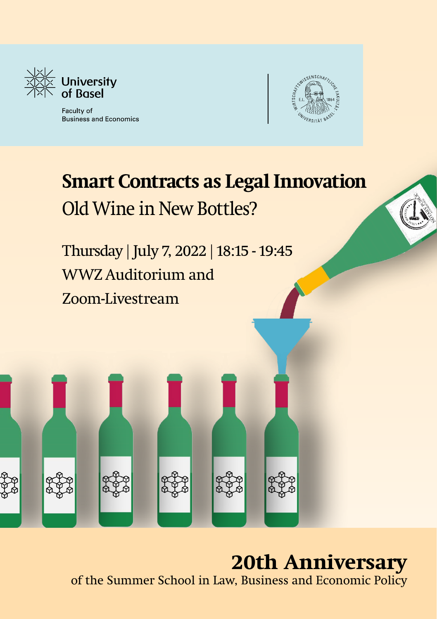

Faculty of **Business and Economics** 



## **Smart Contracts as Legal Innovation** Old Wine in New Bottles?

Thursday | July 7, 2022 | 18:15 - 19:45 WWZ Auditorium and Zoom-Livestream

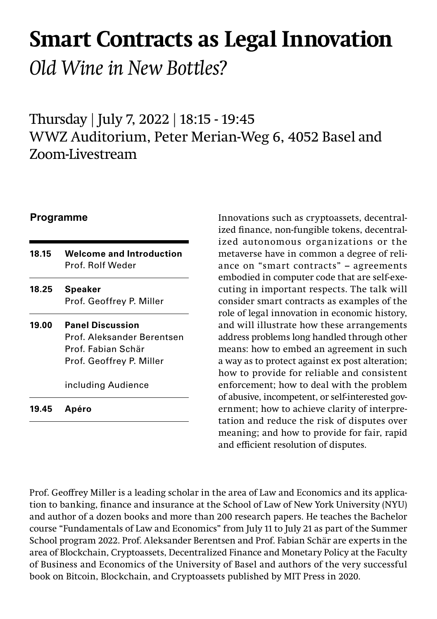# **Smart Contracts as Legal Innovation**

*Old Wine in New Bottles?* 

Thursday | July 7, 2022 | 18:15 - 19:45 WWZ Auditorium, Peter Merian-Weg 6, 4052 Basel and Zoom-Livestream

| 18.15 | <b>Welcome and Introduction</b> |
|-------|---------------------------------|
|       | Prof. Rolf Weder                |

- **Speaker**  Prof. Geoffrey P. Miller **18.25**
- **Panel Discussion** Prof. Aleksander Berentsen Prof. Fabian Schär Prof. Geoffrey P. Miller **19.00**

including Audience

**Apéro 19.45**

**Programme Innovations such as cryptoassets, decentral**ized finance, non-fungible tokens, decentralized autonomous organizations or the metaverse have in common a degree of reliance on "smart contracts" – agreements embodied in computer code that are self-executing in important respects. The talk will consider smart contracts as examples of the role of legal innovation in economic history, and will illustrate how these arrangements address problems long handled through other means: how to embed an agreement in such a way as to protect against ex post alteration; how to provide for reliable and consistent enforcement; how to deal with the problem of abusive, incompetent, or self-interested government; how to achieve clarity of interpretation and reduce the risk of disputes over meaning; and how to provide for fair, rapid and efficient resolution of disputes.

Prof. Geoffrey Miller is a leading scholar in the area of Law and Economics and its application to banking, finance and insurance at the School of Law of New York University (NYU) and author of a dozen books and more than 200 research papers. He teaches the Bachelor course "Fundamentals of Law and Economics" from July 11 to July 21 as part of the Summer School program 2022. Prof. Aleksander Berentsen and Prof. Fabian Schär are experts in the area of Blockchain, Cryptoassets, Decentralized Finance and Monetary Policy at the Faculty of Business and Economics of the University of Basel and authors of the very successful book on Bitcoin, Blockchain, and Cryptoassets published by MIT Press in 2020.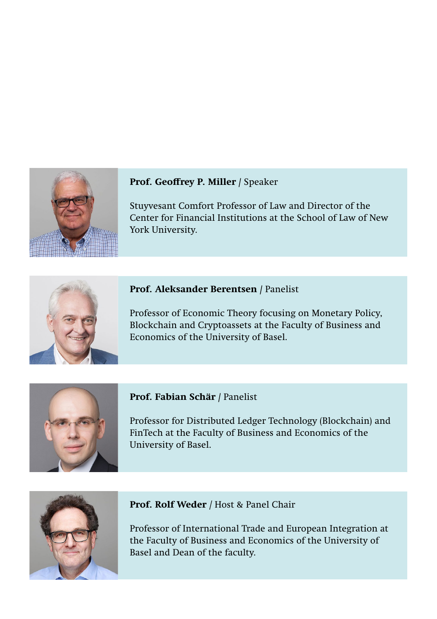

### **Prof. Geoffrey P. Miller /** Speaker

Stuyvesant Comfort Professor of Law and Director of the Center for Financial Institutions at the School of Law of New York University.



#### **Prof. Aleksander Berentsen /** Panelist

Professor of Economic Theory focusing on Monetary Policy, Blockchain and Cryptoassets at the Faculty of Business and Economics of the University of Basel.



#### **Prof. Fabian Schär /** Panelist

Professor for Distributed Ledger Technology (Blockchain) and FinTech at the Faculty of Business and Economics of the University of Basel.



#### **Prof. Rolf Weder** */* Host & Panel Chair

Professor of International Trade and European Integration at the Faculty of Business and Economics of the University of Basel and Dean of the faculty.